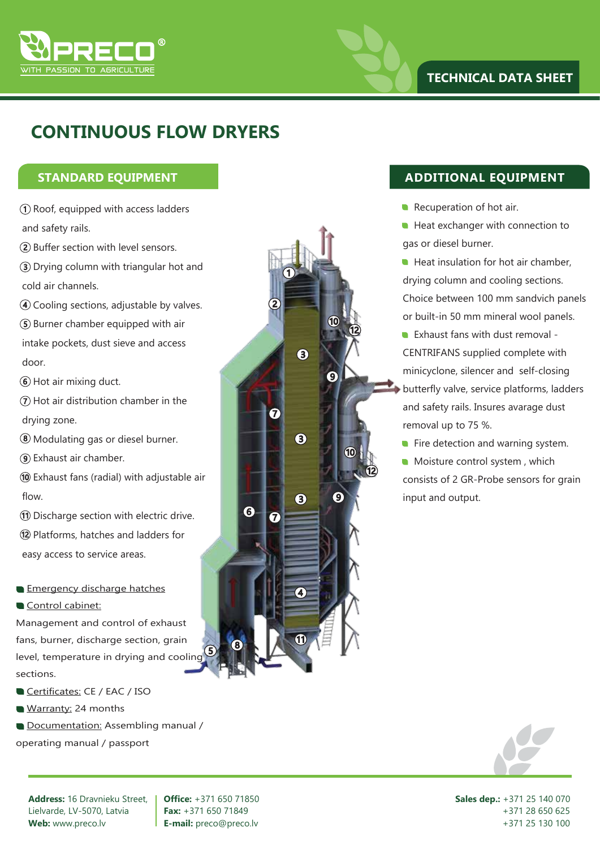

## **CONTINUOUS FLOW DRYERS**

- 1 Roof, equipped with access ladders and safety rails.
- 2 Buffer section with level sensors.
- 3 Drying column with triangular hot and cold air channels.
- 4 Cooling sections, adjustable by valves.
- 5 Burner chamber equipped with air intake pockets, dust sieve and access door.
- 6 Hot air mixing duct.
- $\widehat{\mathcal{D}}$  Hot air distribution chamber in the drying zone.
- 8 Modulating gas or diesel burner.
- 9 Exhaust air chamber.
- 10 Exhaust fans (radial) with adjustable air flow.
- 11 Discharge section with electric drive.
- 12 Platforms, hatches and ladders for
- easy access to service areas.
- **Emergency discharge hatches**
- Control cabinet:

Management and control of exhaust fans, burner, discharge section, grain level, temperature in drying and cooling sections.

- Certificates: CE / EAC / ISO
- Warranty: 24 months
- Documentation: Assembling manual /

operating manual / passport



## **STANDARD EQUIPMENT ADDITIONAL EQUIPMENT**

- Recuperation of hot air.
- Heat exchanger with connection to gas or diesel burner.
- Heat insulation for hot air chamber, drying column and cooling sections. Choice between 100 mm sandvich panels or built-in 50 mm mineral wool panels.
- **Exhaust fans with dust removal -**CENTRIFANS supplied complete with minicyclone, silencer and self-closing
- butterfly valve, service platforms, ladders and safety rails. Insures avarage dust removal up to 75 %.
- $\blacksquare$  Fire detection and warning system.
- **Moisture control system, which** consists of 2 GR-Probe sensors for grain input and output.



**Address:** 16 Dravnieku Street, Lielvarde, LV-5070, Latvia **Web:** www.preco.lv

**Office:** +371 650 71850 **Fax:** +371 650 71849 **E-mail:** preco@preco.lv